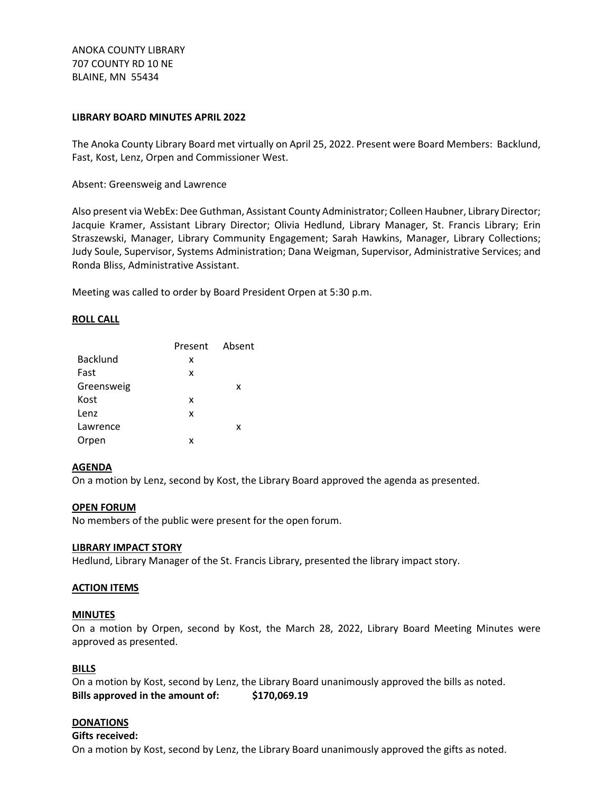ANOKA COUNTY LIBRARY 707 COUNTY RD 10 NE BLAINE, MN 55434

# **LIBRARY BOARD MINUTES APRIL 2022**

The Anoka County Library Board met virtually on April 25, 2022. Present were Board Members: Backlund, Fast, Kost, Lenz, Orpen and Commissioner West.

Absent: Greensweig and Lawrence

Also present via WebEx: Dee Guthman, Assistant County Administrator; Colleen Haubner, Library Director; Jacquie Kramer, Assistant Library Director; Olivia Hedlund, Library Manager, St. Francis Library; Erin Straszewski, Manager, Library Community Engagement; Sarah Hawkins, Manager, Library Collections; Judy Soule, Supervisor, Systems Administration; Dana Weigman, Supervisor, Administrative Services; and Ronda Bliss, Administrative Assistant.

Meeting was called to order by Board President Orpen at 5:30 p.m.

## **ROLL CALL**

|                 | Present Absent |   |
|-----------------|----------------|---|
| <b>Backlund</b> | x              |   |
| Fast            | x              |   |
| Greensweig      |                | x |
| Kost            | x              |   |
| Lenz            | x              |   |
| Lawrence        |                | x |
| Orpen           | x              |   |

## **AGENDA**

On a motion by Lenz, second by Kost, the Library Board approved the agenda as presented.

## **OPEN FORUM**

No members of the public were present for the open forum.

## **LIBRARY IMPACT STORY**

Hedlund, Library Manager of the St. Francis Library, presented the library impact story.

## **ACTION ITEMS**

#### **MINUTES**

On a motion by Orpen, second by Kost, the March 28, 2022, Library Board Meeting Minutes were approved as presented.

## **BILLS**

On a motion by Kost, second by Lenz, the Library Board unanimously approved the bills as noted. **Bills approved in the amount of: \$170,069.19**

# **DONATIONS**

#### **Gifts received:**

On a motion by Kost, second by Lenz, the Library Board unanimously approved the gifts as noted.